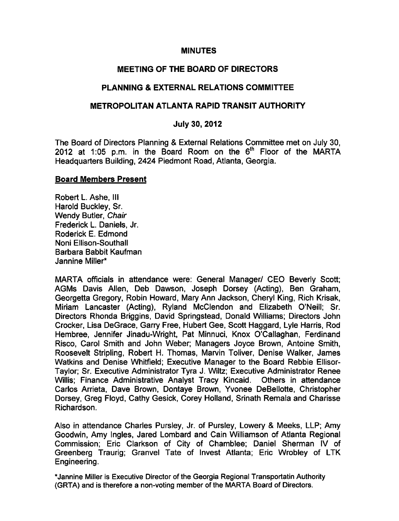### **MINUTES**

### MEETING OF THE BOARD OF DIRECTORS

### PLANNING & EXTERNAL RELATIONS COMMITTEE

### METROPOLITAN ATLANTA RAPID TRANSIT AUTHORITY

### July 30, 2012

The Board of Directors Planning & External Relations Committee met on July 30, 2012 at 1:05 p.m. in the Board Room on the  $6<sup>th</sup>$  Floor of the MARTA Headquarters Building, 2424 Piedmont Road, Atlanta, Georgia.

#### Board Members Present

Robert L. Ashe, III Harold Buckley, Sr. Wendy Butler, Chair Frederick L. Daniels, Jr. Roderick E. Edmond Noni Ellison-Southall Barbara Babbit Kaufman Jannine Miller\*

MARTA officials in attendance were: General Manager/ CEO Beverly Scott; AGMs Davis Allen, Deb Dawson, Joseph Dorsey (Acting), Ben Graham, Georgetta Gregory, Robin Howard, Mary Ann Jackson, Cheryl King, Rich Krisak, Miriam Lancaster (Acting), Ryland McClendon and Elizabeth O'Neill; Sr. Directors Rhonda Briggins, David Springstead, Donald Williams; Directors John Crocker, Lisa DeGrace, Garry Free, Hubert Gee, Scott Haggard, Lyle Harris, Rod Hembree, Jennifer Jinadu-Wright, Pat Minnuci, Knox O'Callaghan, Ferdinand Risco, Carol Smith and John Weber; Managers Joyce Brown, Antoine Smith, Roosevelt Stripling, Robert H. Thomas, Marvin Toliver, Denise Walker, James Watkins and Denise Whitfield; Executive Manager to the Board Rebbie Ellisor-Taylor; Sr. Executive Administrator Tyra J. Wiltz; Executive Administrator Renee Willis; Finance Administrative Analyst Tracy Kincaid. Others in attendance Carlos Arrieta, Dave Brown, Dontaye Brown, Yvonee DeBellotte, Christopher Dorsey, Greg Floyd, Cathy Gesick, Corey Holland, Srinath Remala and Charisse Richardson.

Also in attendance Charles Pursley, Jr. of Pursley, Lowery & Meeks, LLP; Amy Goodwin, Amy Ingles, Jared Lombard and Cain Williamson of Atlanta Regional Commission; Eric Clarkson of City of Chamblee; Daniel Sherman IV of Greenberg Traurig; Granvel Tate of Invest Atlanta; Eric Wrobley of LTK Engineering.

\*Jannine Miller is Executive Director of the Georgia Regional Transportatin Authority (GRTA) and is therefore a non-voting member of the MARTA Board of Directors.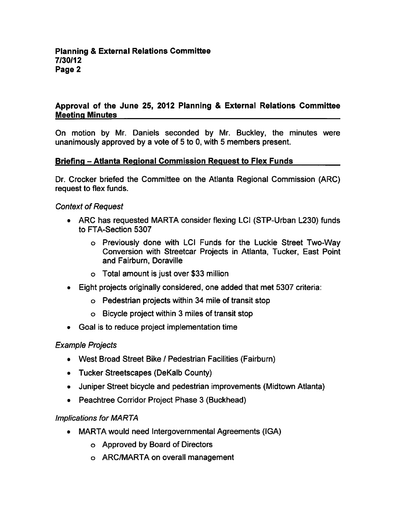## Approval of the June 25, 2012 Planning & External Relations Committee Meeting Minutes

On motion by Mr. Daniels seconded by Mr. Buckley, the minutes were unanimously approved by a vote of 5 to 0, with 5 members present.

## Briefing - Atlanta Regional Commission Request to Flex Funds

Dr. Crocker briefed the Committee on the Atlanta Regional Commission (ARC) request to flex funds.

### Context of Request

- ARC has requested MARTA consider flexing LCI (STP-Urban L230) funds to FTA-Section 5307
	- Previously done with LCI Funds for the Luckie Street Two-Way Conversion with Streetcar Projects in Atlanta, Tucker, East Point and Fairburn, Doraville
	- Total amount is just over \$33 million
- Eight projects originally considered, one added that met 5307 criteria:
	- Pedestrian projects within 34 mile of transit stop
	- $\circ$  Bicycle project within 3 miles of transit stop
- Goal is to reduce project implementation time

### Example Projects

- West Broad Street Bike / Pedestrian Facilities (Fairburn)
- Tucker Streetscapes (DeKalb County)
- Juniper Street bicycle and pedestrian improvements (Midtown Atlanta)
- Peachtree Corridor Project Phase 3 (Buckhead)

### Implications for MARTA

- MARTA would need Intergovernmental Agreements (IGA)
	- Approved by Board of Directors
	- ARC/MARTA on overall management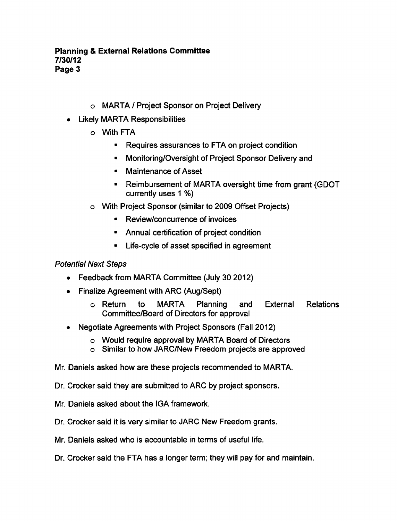- o MARTA / Project Sponsor on Project Delivery
- Likely MARTA Responsibilities
	- With FTA
		- Requires assurances to FTA on project condition
		- Monitoring/Oversight of Project Sponsor Delivery and  $\blacksquare$
		- $\blacksquare$ Maintenance of Asset
		- Reimbursement of MARTA oversight time from grant (GDOT  $\blacksquare$ currently uses  $1\%$
	- With Project Sponsor (similar to 2009 Offset Projects)
		- Review/concurrence of invoices  $\blacksquare$
		- Annual certification of project condition
		- Life-cycle of asset specified in agreement  $\blacksquare$

### Potential Next Steps

- Feedback from MARTA Committee (July 30 2012)
- Finalize Agreement with ARC (Aug/Sept)
	- Return to MARTA Planning and External Relations Committee/Board of Directors for approval
- Negotiate Agreements with Project Sponsors (Fall 2012)  $\bullet$ 
	- o Would require approval by MARTA Board of Directors
	- Similar to how JARC/New Freedom projects are approved
- Mr. Daniels asked how are these projects recommended to MARTA.
- Dr. Crocker said they are submitted to ARC by project sponsors.
- Mr. Daniels asked about the IGA framework.
- Dr. Crocker said it is very similar to JARC New Freedom grants.
- Mr. Daniels asked who is accountable in terms of useful life.
- Dr. Crocker said the FTA has a longer term; they will pay for and maintain.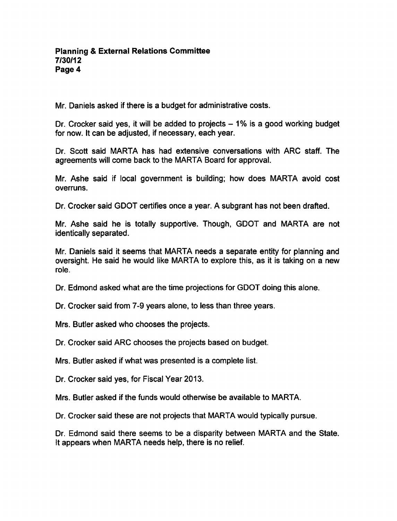Mr. Daniels asked if there is a budget for administrative costs.

Dr. Crocker said yes, it will be added to projects  $-1\%$  is a good working budget for now. It can be adjusted, if necessary, each year.

Dr. Scott said MARTA has had extensive conversations with ARC staff. The agreements will come back to the MARTA Board for approval.

Mr. Ashe said if local government is building; how does MARTA avoid cost overruns.

Dr. Crocker said GDOT certifies once a year. A subgrant has not been drafted.

Mr. Ashe said he is totally supportive. Though, GDOT and MARTA are not identically separated.

Mr. Daniels said it seems that MARTA needs a separate entity for planning and oversight. He said he would like MARTA to explore this, as it is taking on a new role.

Dr. Edmond asked what are the time projections for GDOT doing this alone.

Dr. Crocker said from 7-9 years alone, to less than three years.

Mrs. Butler asked who chooses the projects.

Dr. Crocker said ARC chooses the projects based on budget.

Mrs. Butler asked if what was presented is a complete list.

Dr. Crocker said yes, for Fiscal Year 2013.

Mrs. Butler asked if the funds would otherwise be available to MARTA.

Dr. Crocker said these are not projects that MARTA would typically pursue.

Dr. Edmond said there seems to be a disparity between MARTA and the State. It appears when MARTA needs help, there is no relief.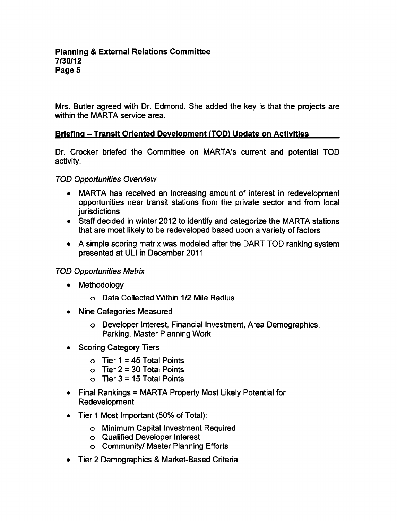Mrs. Butler agreed with Dr. Edmond. She added the key is that the projects are within the MARTA service area.

## Briefing - Transit Oriented Development (TOD) Update on Activities

Dr. Crocker briefed the Committee on MARTA's current and potential TOD activity.

### TOD Opportunities Overview

- MARTA has received an increasing amount of interest in redevelopment opportunities near transit stations from the private sector and from local **jurisdictions**
- Staff decided in winter 2012 to identify and categorize the MARTA stations that are most likely to be redeveloped based upon a variety of factors
- A simple scoring matrix was modeled after the DART TOD ranking system presented at ULI in December 2011

### TOD Opportunities Matrix

- Methodology
	- Data Collected Within 1/2 Mile Radius
- Nine Categories Measured
	- Developer Interest, Financial Investment, Area Demographics, Parking, Master Planning Work
- Scoring Category Tiers
	- $\circ$  Tier 1 = 45 Total Points
	- o Tier  $2 = 30$  Total Points
	- $\circ$  Tier 3 = 15 Total Points
- $\bullet$  Final Rankings = MARTA Property Most Likely Potential for Redevelopment
- Tier 1 Most Important (50% of Total):  $\bullet$ 
	- Minimum Capital Investment Required
	- Qualified Developer Interest
	- Community/ Master Planning Efforts
- Tier 2 Demographics & Market-Based Criteria  $\bullet$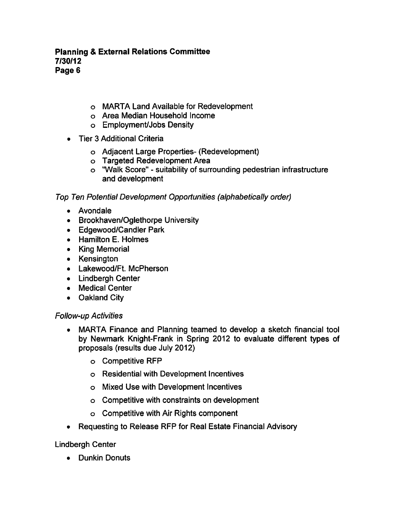- MARTA Land Available for Redevelopment
- Area Median Household Income
- Employment/Jobs Density
- **Tier 3 Additional Criteria** 
	- Adjacent Large Properties- (Redevelopment)
	- Targeted Redevelopment Area
	- o "Walk Score" suitability of surrounding pedestrian infrastructure and development

Top Ten Potential Development Opportunities (alphabetically order)

- Avondale
- Brookhaven/Oglethorpe University
- Edgewood/Candler Park
- Hamilton E. Holmes
- King Memorial
- Kensington
- Lakewood/Ft. McPherson
- Lindbergh Center
- Medical Center
- Oakland City

### Follow-up Activities

- MARTA Finance and Planning teamed to develop a sketch financial tool by Newmark Knight-Frank in Spring 2012 to evaluate different types of proposals (results due July 2012)
	- Competitive RFP
	- Residential with Development Incentives
	- Mixed Use with Development Incentives
	- Competitive with constraints on development
	- Competitive with Air Rights component
- Requesting to Release RFP for Real Estate Financial Advisory  $\bullet$

Lindbergh Center

• Dunkin Donuts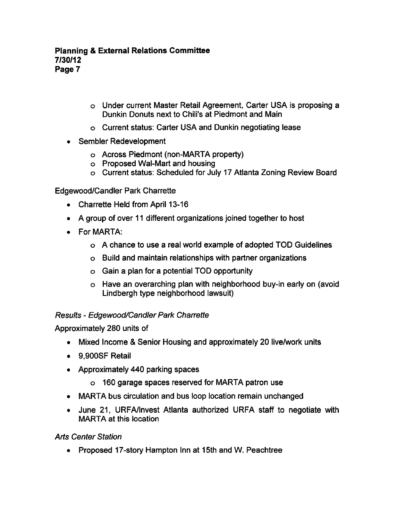- o Under current Master Retail Agreement, Carter USA is proposing Dunkin Donuts next to Chili's at Piedmont and Main
- Current status: Carter USA and Dunkin negotiating lease
- Sembler Redevelopment
	- Across Piedmont (non-MARTA property)
	- Proposed Wal-Mart and housing
	- Current status: Scheduled for July 17 Atlanta Zoning Review Board

Edgewood/Candler Park Charrette

- Charrette Held from April 13-16
- A group of over 11 different organizations joined together to host
- For MARTA:
	- o A chance to use a real world example of adopted TOD Guidelines
	- Build and maintain relationships with partner organizations
	- $\circ$  Gain a plan for a potential TOD opportunity
	- Have an overarching plan with neighborhood buy-in early on (avoid Lindbergh type neighborhood lawsuit)

Results Edgewood/Candler Park Charrette

Approximately 280 units of

- Mixed Income & Senior Housing and approximately 20 live/work units
- 9.900SF Retail
- Approximately 440 parking spaces
	- 160 garage spaces reserved for MARTA patron use
- MARTA bus circulation and bus loop location remain unchanged
- June 21, URFA/lnvest Atlanta authorized URFA staff to negotiate with MARTA at this location

Arts Center Station

Proposed 17-story Hampton Inn at 15th and W. Peachtree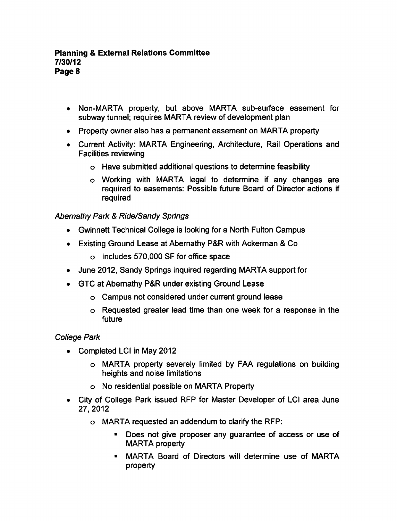- Non-MARTA property, but above MARTA sub-surface easement for subway tunnel; requires MARTA review of development plan
- Property owner also has a permanent easement on MARTA property
- Current Activity: MARTA Engineering, Architecture, Rail Operations and Facilities reviewing
	- Have submitted additional questions to determine feasibility
	- Working with MARTA legal to determine if any changes are required to easements: Possible future Board of Director actions if required

Abernathy Park & Ride/Sandy Springs

- Gwinnett Technical College is looking for a North Fulton Campus
- Existing Ground Lease at Abernathy P&R with Ackerman & Co
	- o Includes 570,000 SF for office space
- June 2012, Sandy Springs inquired regarding MARTA support for
- GTC at Abernathy P&R under existing Ground Lease
	- Campus not considered under current ground lease
	- o Requested greater lead time than one week for a response in the future

## College Park

- Completed LCI in May 2012
	- MARTA property severely limited by FAA regulations on building heights and noise limitations
	- No residential possible on MARTA Property
- City of College Park issued RFP for Master Developer of LCI area June 27, 2012
	- MARTA requested an addendum to clarify the RFP:
		- Does not give proposer any guarantee of access or use of  $\blacksquare$ MARTA property
		- MARTA Board of Directors will determine use of MARTA  $\blacksquare$ property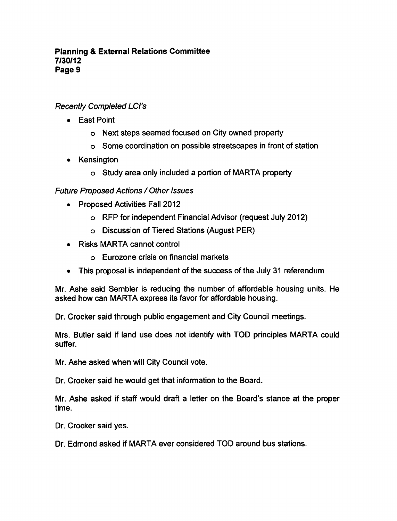# Recently Completed LCI's

- East Point
	- Next steps seemed focused on City owned property
	- Some coordination on possible streetscapes in front of station
- Kensington
	- o Study area only included a portion of MARTA property

# Future Proposed Actions / Other Issues

- Proposed Activities Fall 2012
	- RFP for independent Financial Advisor (request July 2012)
	- Discussion of Tiered Stations (August PER)
- Risks MARTA cannot control
	- Eurozone crisis on financial markets
- This proposal is independent of the success of the July 31 referendum

Mr. Ashe said Sembler is reducing the number of affordable housing units. He asked how can MARTA express its favor for affordable housing.

Dr. Crocker said through public engagement and City Council meetings.

Mrs. Butler said if land use does not identify with TOD principles MARTA could suffer.

Mr. Ashe asked when will City Council vote.

Dr. Crocker said he would get that information to the Board.

Mr. Ashe asked if staff would draft a letter on the Board's stance at the proper time.

Dr. Crocker said yes.

Dr. Edmond asked if MARTA ever considered TOD around bus stations.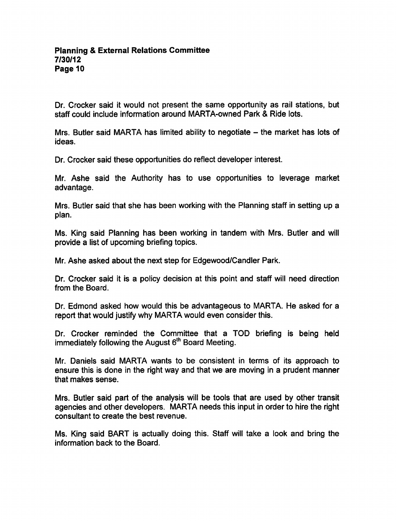Dr. Crocker said it would not present the same opportunity as rail stations, but staff could include information around MARTA-owned Park & Ride lots.

Mrs. Butler said MARTA has limited ability to negotiate  $-$  the market has lots of ideas.

Dr. Crocker said these opportunities do reflect developer interest.

Mr. Ashe said the Authority has to use opportunities to leverage market advantage.

Mrs. Butler said that she has been working with the Planning staff in setting up a plan.

Ms. King said Planning has been working in tandem with Mrs. Butler and will provide a list of upcoming briefing topics.

Mr. Ashe asked about the next step for Edgewood/Candler Park.

Dr. Crocker said it is a policy decision at this point and staff will need direction from the Board.

Dr. Edmond asked how would this be advantageous to MARTA. He asked for report that would justify why MARTA would even consider this.

Dr. Crocker reminded the Committee that a TOD briefing is being held immediately following the August  $6<sup>th</sup>$  Board Meeting.

Mr. Daniels said MARTA wants to be consistent in terms of its approach to ensure this is done in the right way and that we are moving in a prudent manner that makes sense.

Mrs. Butler said part of the analysis will be tools that are used by other transit agencies and other developers. MARTA needs this input in order to hire the right consultant to create the best revenue.

Ms. King said BART is actually doing this. Staff will take a look and bring the information back to the Board.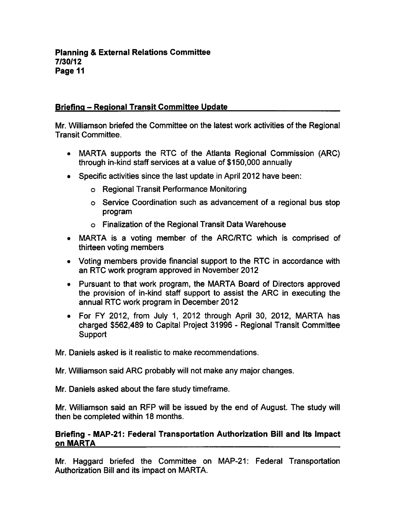## Briefing - Regional Transit Committee Update

Mr. Williamson briefed the Committee on the latest work activities of the Regional Transit Committee.

- MARTA supports the RTC of the Atlanta Regional Commission (ARC) through in-kind staff services at a value of \$150,000 annually
- Specific activities since the last update in April 2012 have been:
	- Regional Transit Performance Monitoring
	- o Service Coordination such as advancement of a regional bus stop program
	- Finalization of the Regional Transit Data Warehouse
- MARTA is a voting member of the ARC/RTC which is comprised of thirteen voting members
- Voting members provide financial support to the RTC in accordance with an RTC work program approved in November 2012
- Pursuant to that work program, the MARTA Board of Directors approved the provision of in-kind staff support to assist the ARC in executing the annual RTC work program in December 2012
- For FY 2012, from July 1, 2012 through April 30, 2012, MARTA has charged \$562,489 to Capital Project 31996 - Regional Transit Committee **Support**

Mr. Daniels asked is it realistic to make recommendations.

Mr. Williamson said ARC probably will not make any major changes.

Mr. Daniels asked about the fare study timeframe.

Mr. Williamson said an RFP will be issued by the end of August. The study will then be completed within 18 months.

### Briefing - MAP-21: Federal Transportation Authorization Bill and Its Impact on MARTA

Mr. Haggard briefed the Committee on MAP-21: Federal Transportation Authorization Bill and its impact on MARTA.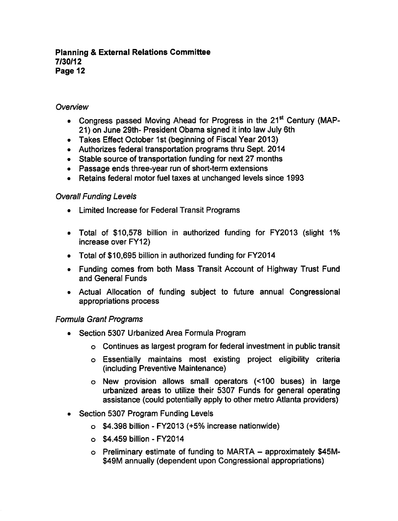### **Planning & External Relations Committee** 7/30/12 Page 12

### **Overview**

- Congress passed Moving Ahead for Progress in the 21<sup>st</sup> Century (MAP-21) on June 29th- President Obama signed it into law July 6th
- Takes Effect October 1st (beginning of Fiscal Year 2013)
- Authorizes federal transportation programs thru Sept. 2014
- Stable source of transportation funding for next 27 months
- Passage ends three-year run of short-term extensions
- Retains federal motor fuel taxes at unchanged levels since 1993

## Overall Funding Levels

- Limited Increase for Federal Transit Programs
- Total of \$10,578 billion in authorized funding for FY2013 (slight 1% increase over FY12)
- Total of \$10,695 billion in authorized funding for FY2014
- Funding comes from both Mass Transit Account of Highway Trust Fund and General Funds
- Actual Allocation of funding subject to future annual Congressional appropriations process

## Formula Grant Programs

- Section 5307 Urbanized Area Formula Program
	- Continues as largest program for federal investment in public transit
	- Essentially maintains most existing project eligibility criteria (including Preventive Maintenance)
	- New provision allows small operators (<100 buses) in large urbanized areas to utilize their 5307 Funds for general operating assistance (could potentially apply to other metro Atlanta providers)
- Section 5307 Program Funding Levels
	- $\circ$  \$4.398 billion FY2013 (+5% increase nationwide)
	- $\circ$  \$4,459 billion FY2014
	- $\circ$  Preliminary estimate of funding to MARTA approximately \$45M-\$49M annually (dependent upon Congressional appropriations)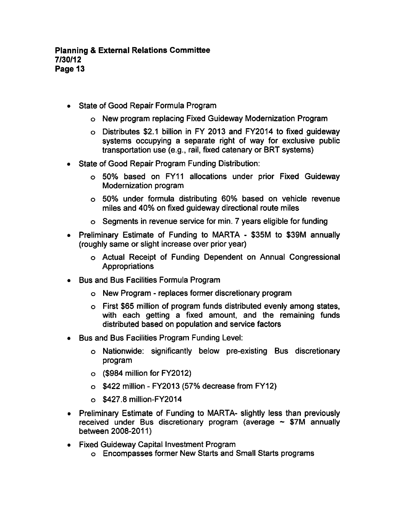- State of Good Repair Formula Program
	- New program replacing Fixed Guideway Modernization Program
	- Distributes \$2.1 billion in FY 2013 and FY2014 to fixed guideway systems occupying a separate right of way for exclusive public transportation use (e.g., rail, fixed catenary or BRT systems)
- State of Good Repair Program Funding Distribution:  $\bullet$ 
	- 50% based on FY11 allocations under prior Fixed Guideway Modernization program
	- 50% under formula distributing 60% based on vehicle revenue miles and 40% on fixed guideway directional route miles
	- o Segments in revenue service for min. 7 years eligible for funding
- Preliminary Estimate of Funding to MARTA \$35M to \$39M annually (roughly same or slight increase over prior year)
	- Actual Receipt of Funding Dependent on Annual Congressional **Appropriations**
- Bus and Bus Facilities Formula Program
	- o New Program replaces former discretionary program
	- First \$65 million of program funds distributed evenly among states, with each getting a fixed amount, and the remaining funds distributed based on population and service factors
- Bus and Bus Facilities Program Funding Level:
	- Nationwide: significantly below pre-existing Bus discretionary program
	- (\$984 million for FY2012)
	- $\circ$  \$422 million FY2013 (57% decrease from FY12)
	- \$427.8 million-FY2014
- Preliminary Estimate of Funding to MARTA- slightly less than previously received under Bus discretionary program (average  $\sim$  \$7M annually between 2008-2011)
- Fixed Guideway Capital Investment Program
	- Encompasses former New Starts and Small Starts programs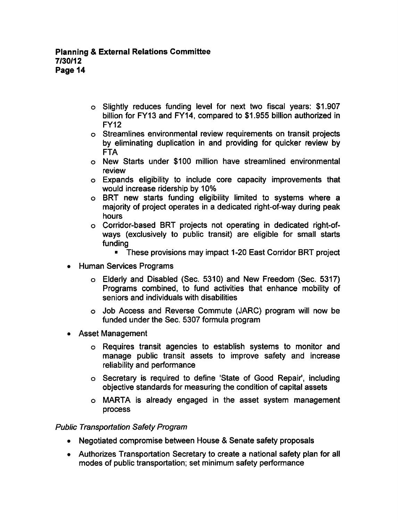- Slightly reduces funding level for next two fiscal years: \$1,907 billion for FY13 and FY14, compared to \$1,955 billion authorized in FY12
- Streamlines environmental review requirements on transit projects by eliminating duplication in and providing for quicker review by FTA
- New Starts under \$100 million have streamlined environmental review
- Expands eligibility to include core capacity improvements that would increase ridership by 10%
- o BRT new starts funding eligibility limited to systems where a majority of project operates in a dedicated right-of-way during peak hours
- Corridor-based BRT projects not operating in dedicated right-ofways (exclusively to public transit) are eligible for small starts funding
	- These provisions may impact 1-20 East Corridor BRT project
- Human Services Programs
	- Elderly and Disabled (Sec. 5310) and New Freedom (Sec. 5317) Programs combined, to fund activities that enhance mobility of seniors and individuals with disabilities
	- Job Access and Reverse Commute (JARC) program will now be funded under the Sec. 5307 formula program
- Asset Management
	- Requires transit agencies to establish systems to monitor and manage public transit assets to improve safety and increase reliability and performance
	- Secretary is required to define 'State of Good Repair', including objective standards for measuring the condition of capital assets
	- MARTA is already engaged in the asset system management process

### Public Transportation Safety Program

- Negotiated compromise between House & Senate safety proposals
- Authorizes Transportation Secretary to create a national safety plan for all modes of public transportation; set minimum safety performance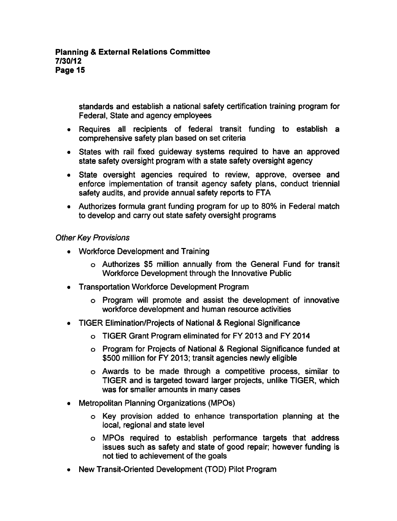standards and establish a national safety certification training program for Federal, State and agency employees

- Requires all recipients of federal transit funding to establish a comprehensive safety plan based on set criteria
- States with rail fixed guideway systems required to have an approved state safety oversight program with a state safety oversight agency
- State oversight agencies required to review, approve, oversee and enforce implementation of transit agency safety plans, conduct triennial safety audits, and provide annual safety reports to FTA
- Authorizes formula grant funding program for up to 80% in Federal match to develop and carry out state safety oversight programs

## Other Key Provisions

- Workforce Development and Training
	- Authorizes \$5 million annually from the General Fund for transit Workforce Development through the Innovative Public
- Transportation Workforce Development Program
	- Program will promote and assist the development of innovative workforce development and human resource activities
- TIGER Elimination/Projects of National & Regional Significance
	- TIGER Grant Program eliminated for FY 2013 and FY 2014
	- o Program for Projects of National & Regional Significance funded at \$500 million for FY 2013; transit agencies newly eligible
	- Awards to be made through competitive process, similar to TIGER and is targeted toward larger projects, unlike TIGER, which was for smaller amounts in many cases
- Metropolitan Planning Organizations (MPOs)
	- Key provision added to enhance transportation planning at the local, regional and state level
	- MPOs required to establish performance targets that address issues such as safety and state of good repair; however funding is not tied to achievement of the goals
- New Transit-Oriented Development (TOD) Pilot Program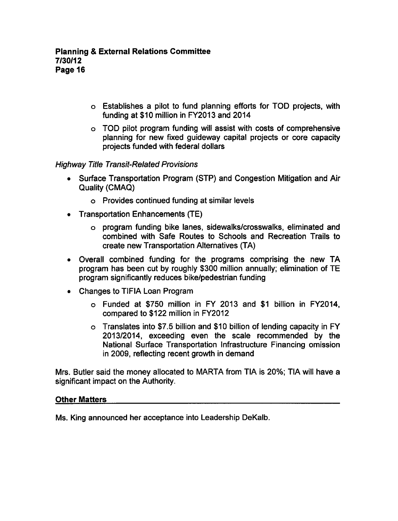- $\circ$  Establishes a pilot to fund planning efforts for TOD projects, with funding at \$10 million in FY2013 and 2014
- TOD pilot program funding will assist with costs of comprehensive planning for new fixed guideway capital projects or core capacity projects funded with federal dollars

### Highway Title Transit-Related Provisions

- Surface Transportation Program (STP) and Congestion Mitigation and Air  $\bullet$ Quality (CMAQ)
	- Provides continued funding at similar levels
- Transportation Enhancements (TE)
	- program funding bike lanes, sidewalks/crosswalks, eliminated and combined with Safe Routes to Schools and Recreation Trails to create new Transportation Alternatives (TA)
- Overall combined funding for the programs comprising the new TA program has been cut by roughly \$300 million annually; elimination of TE program significantly reduces bike/pedestrian funding
- Changes to TIFIA Loan Program
	- Funded at \$750 million in FY 2013 and \$1 billion in FY2014, compared to \$122 million in FY2012
	- Translates into \$7.5 billion and \$10 billion of lending capacity in FY 2013/2014, exceeding even the scale recommended by the National Surface Transportation Infrastructure Financing omission in 2009, reflecting recent growth in demand

Mrs. Butler said the money allocated to MARTA from TIA is 20%; TIA will have significant impact on the Authority.

### Other Matters

Ms. King announced her acceptance into Leadership DeKalb.